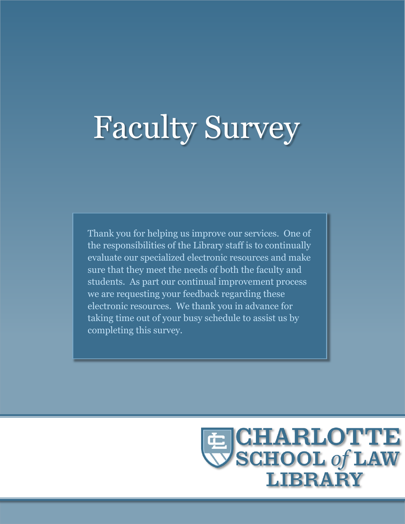# Faculty Survey

Thank you for helping us improve our services. One of the responsibilities of the Library staff is to continually evaluate our specialized electronic resources and make sure that they meet the needs of both the faculty and students. As part our continual improvement process we are requesting your feedback regarding these electronic resources. We thank you in advance for taking time out of your busy schedule to assist us by completing this survey.

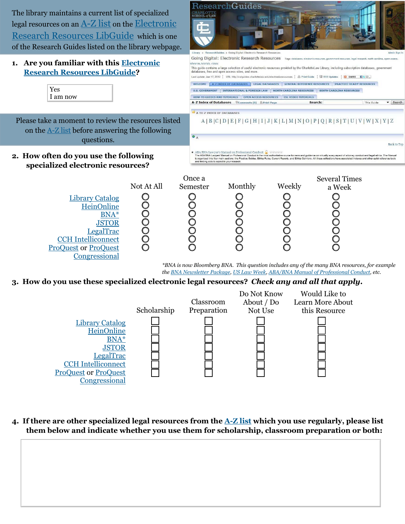The library maintains a current list of specialized legal resources on an [A-Z list](http://cslguides.charlottelaw.edu/content.php?pid=119534&sid=2205558) on th[e Electronic](http://cslguides.charlottelaw.edu/content.php?pid=119534&sid=1029601)  [Research Resources LibGuide](http://cslguides.charlottelaw.edu/content.php?pid=119534&sid=1029601) which is one of the Research Guides listed on the library webpage.



 $\operatorname{ResearchGuides}$ 

#### Scholarship Classroom Preparation Do Not Know About / Do Not Use Would Like to Learn More About this Resource [Library Catalog](http://encore.fcsl.edu/iii/encore_chasl/home?lang=eng) **[HeinOnline](http://0-www.heinonline.org.catalog.fcsl.edu/HOL/Welcome)** [BNA\\*](http://cslguides.charlottelaw.edu/content.php?pid=119534&sid=2211930) **[JSTOR](http://0-www.jstor.org.catalog.fcsl.edu/)** [LegalTrac](http://0-go.galegroup.com.catalog.fcsl.edu/ps/start.do?prodId=LT&userGroupName=char42719&authCount=1&u=char42719) [CCH Intelliconnect](http://0-intelliconnect.cch.com.catalog.fcsl.edu/scion/secure/index.jsp#page[1]) [ProQuest](http://0-search.proquest.com.catalog.fcsl.edu/pqrl/index?accountid=34970) or [ProQuest](http://0-web.lexis-nexis.com.catalog.fcsl.edu/congcomp) [Congressional](http://0-web.lexis-nexis.com.catalog.fcsl.edu/congcomp)

**4. If there are other specialized legal resources from the [A-Z list](http://cslguides.charlottelaw.edu/content.php?pid=119534&sid=2205558) which you use regularly, please list them below and indicate whether you use them for scholarship, classroom preparation or both:**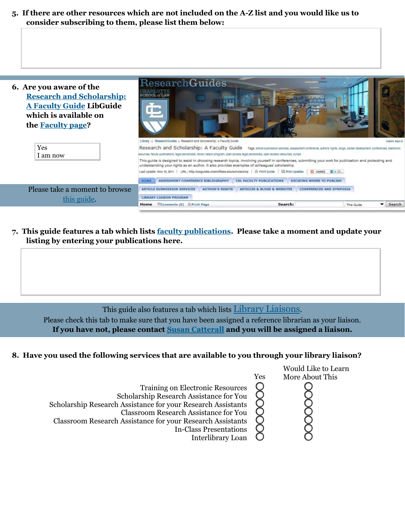**5. If there are other resources which are not included on the [A-Z list](http://cslguides.charlottelaw.edu/content.php?pid=119534&sid=2205558) and you would like us to consider subscribing to them, please list them below:**



**7. This guide features a tab which lists [faculty publications.](http://cslguides.charlottelaw.edu/content.php?pid=123677&sid=1062766) Please take a moment and update your listing by entering your publications here.**

This guide also features a tab which lists [Library Liaisons.](http://cslguides.charlottelaw.edu/content.php?pid=123677&sid=1145008)

Please check this tab to make sure that you have been assigned a reference librarian as your liaison. **If you have not, please contact [Susan Catterall](mailto:scatterall@charlottelaw.edu) and you will be assigned a liaison.**

## **8. Have you used the following services that are available to you through your library liaison?**

|                                                                                                                                                                                                                                                                                                                        |     | Would Like to Learn |
|------------------------------------------------------------------------------------------------------------------------------------------------------------------------------------------------------------------------------------------------------------------------------------------------------------------------|-----|---------------------|
|                                                                                                                                                                                                                                                                                                                        | Yes | More About This     |
| <b>Training on Electronic Resources</b><br>Scholarship Research Assistance for You<br>Scholarship Research Assistance for your Research Assistants<br><b>Classroom Research Assistance for You</b><br>Classroom Research Assistance for your Research Assistants<br><b>In-Class Presentations</b><br>Interlibrary Loan |     |                     |
|                                                                                                                                                                                                                                                                                                                        |     |                     |